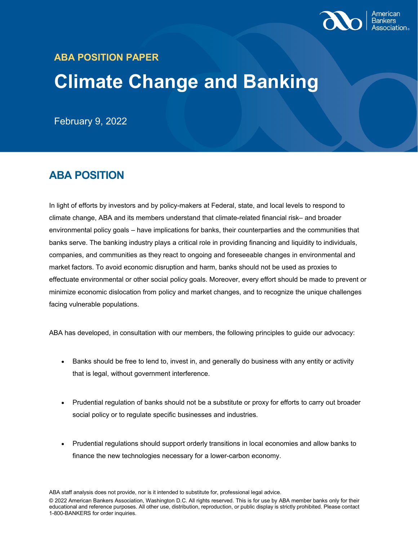

## **ABA POSITION PAPER Climate Change and Banking**

February 9, 2022

## **ABA POSITION**

In light of efforts by investors and by policy-makers at Federal, state, and local levels to respond to climate change, ABA and its members understand that climate-related financial risk– and broader environmental policy goals – have implications for banks, their counterparties and the communities that banks serve. The banking industry plays a critical role in providing financing and liquidity to individuals, companies, and communities as they react to ongoing and foreseeable changes in environmental and market factors. To avoid economic disruption and harm, banks should not be used as proxies to effectuate environmental or other social policy goals. Moreover, every effort should be made to prevent or minimize economic dislocation from policy and market changes, and to recognize the unique challenges facing vulnerable populations.

ABA has developed, in consultation with our members, the following principles to guide our advocacy:

- Banks should be free to lend to, invest in, and generally do business with any entity or activity that is legal, without government interference.
- Prudential regulation of banks should not be a substitute or proxy for efforts to carry out broader social policy or to regulate specific businesses and industries.
- Prudential regulations should support orderly transitions in local economies and allow banks to finance the new technologies necessary for a lower-carbon economy.

ABA staff analysis does not provide, nor is it intended to substitute for, professional legal advice.

© 2022 American Bankers Association, Washington D.C. All rights reserved. This is for use by ABA member banks only for their educational and reference purposes. All other use, distribution, reproduction, or public display is strictly prohibited. Please contact 1-800-BANKERS for order inquiries.